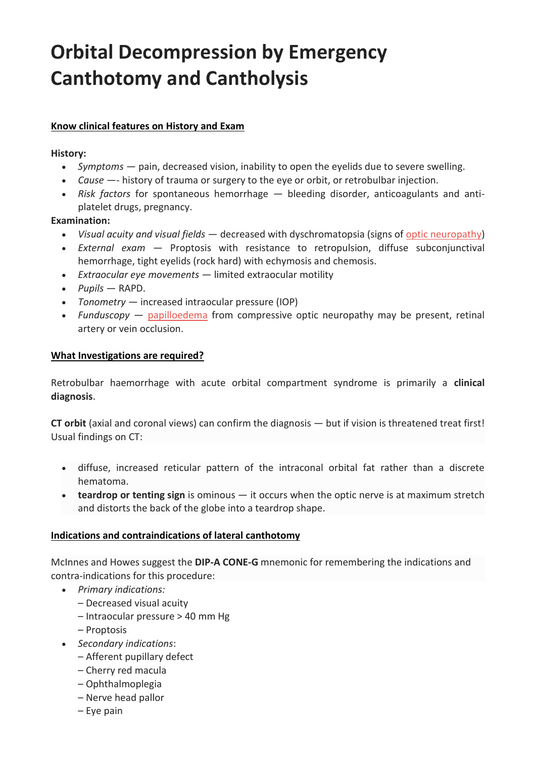# **Orbital Decompression by Emergency Canthotomy and Cantholysis**

# **Know clinical features on History and Exam**

#### **History:**

- *Symptoms* pain, decreased vision, inability to open the eyelids due to severe swelling.
- *Cause* —- history of trauma or surgery to the eye or orbit, or retrobulbar injection.
- *Risk factors* for spontaneous hemorrhage bleeding disorder, anticoagulants and antiplatelet drugs, pregnancy.

### **Examination:**

- *Visual acuity and visual fields* decreased with dyschromatopsia (signs of [optic neuropathy\)](https://lifeinthefastlane.com/ophthalmology-befuddler-009/)
- *External exam* Proptosis with resistance to retropulsion, diffuse subconjunctival hemorrhage, tight eyelids (rock hard) with echymosis and chemosis.
- *Extraocular eye movements* limited extraocular motility
- *Pupils* RAPD.
- *Tonometry* increased intraocular pressure (IOP)
- *Funduscopy* [papilloedema](https://lifeinthefastlane.com/ophthalmology-befuddler-009/) from compressive optic neuropathy may be present, retinal artery or vein occlusion.

### **What Investigations are required?**

Retrobulbar haemorrhage with acute orbital compartment syndrome is primarily a **clinical diagnosis**.

**CT orbit** (axial and coronal views) can confirm the diagnosis — but if vision is threatened treat first! Usual findings on CT:

- diffuse, increased reticular pattern of the intraconal orbital fat rather than a discrete hematoma.
- **teardrop or tenting sign** is ominous it occurs when the optic nerve is at maximum stretch and distorts the back of the globe into a teardrop shape.

### **Indications and contraindications of lateral canthotomy**

McInnes and Howes suggest the **DIP-A CONE-G** mnemonic for remembering the indications and contra-indications for this procedure:

- *Primary indications:*
	- Decreased visual acuity
	- Intraocular pressure > 40 mm Hg
	- Proptosis
- *Secondary indications*:
	- Afferent pupillary defect
	- Cherry red macula
	- Ophthalmoplegia
	- Nerve head pallor
	- Eye pain